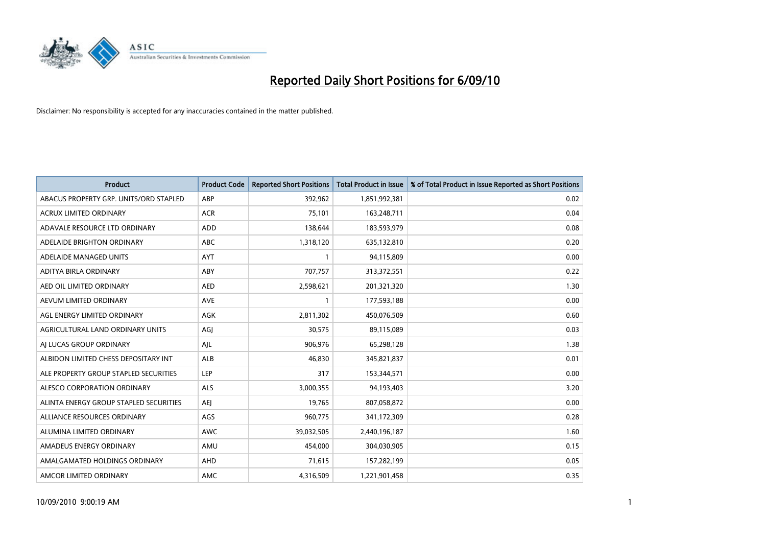

| <b>Product</b>                         | <b>Product Code</b> | <b>Reported Short Positions</b> | Total Product in Issue | % of Total Product in Issue Reported as Short Positions |
|----------------------------------------|---------------------|---------------------------------|------------------------|---------------------------------------------------------|
| ABACUS PROPERTY GRP. UNITS/ORD STAPLED | ABP                 | 392,962                         | 1,851,992,381          | 0.02                                                    |
| ACRUX LIMITED ORDINARY                 | <b>ACR</b>          | 75,101                          | 163,248,711            | 0.04                                                    |
| ADAVALE RESOURCE LTD ORDINARY          | <b>ADD</b>          | 138,644                         | 183,593,979            | 0.08                                                    |
| ADELAIDE BRIGHTON ORDINARY             | <b>ABC</b>          | 1,318,120                       | 635,132,810            | 0.20                                                    |
| ADELAIDE MANAGED UNITS                 | <b>AYT</b>          |                                 | 94,115,809             | 0.00                                                    |
| ADITYA BIRLA ORDINARY                  | ABY                 | 707,757                         | 313,372,551            | 0.22                                                    |
| AED OIL LIMITED ORDINARY               | <b>AED</b>          | 2,598,621                       | 201,321,320            | 1.30                                                    |
| AEVUM LIMITED ORDINARY                 | <b>AVE</b>          |                                 | 177,593,188            | 0.00                                                    |
| AGL ENERGY LIMITED ORDINARY            | AGK                 | 2,811,302                       | 450,076,509            | 0.60                                                    |
| AGRICULTURAL LAND ORDINARY UNITS       | AGJ                 | 30,575                          | 89,115,089             | 0.03                                                    |
| AJ LUCAS GROUP ORDINARY                | AJL                 | 906,976                         | 65,298,128             | 1.38                                                    |
| ALBIDON LIMITED CHESS DEPOSITARY INT   | <b>ALB</b>          | 46,830                          | 345,821,837            | 0.01                                                    |
| ALE PROPERTY GROUP STAPLED SECURITIES  | LEP                 | 317                             | 153,344,571            | 0.00                                                    |
| ALESCO CORPORATION ORDINARY            | ALS                 | 3,000,355                       | 94,193,403             | 3.20                                                    |
| ALINTA ENERGY GROUP STAPLED SECURITIES | <b>AEI</b>          | 19,765                          | 807,058,872            | 0.00                                                    |
| ALLIANCE RESOURCES ORDINARY            | AGS                 | 960,775                         | 341,172,309            | 0.28                                                    |
| ALUMINA LIMITED ORDINARY               | <b>AWC</b>          | 39,032,505                      | 2,440,196,187          | 1.60                                                    |
| AMADEUS ENERGY ORDINARY                | AMU                 | 454,000                         | 304,030,905            | 0.15                                                    |
| AMALGAMATED HOLDINGS ORDINARY          | AHD                 | 71,615                          | 157,282,199            | 0.05                                                    |
| AMCOR LIMITED ORDINARY                 | <b>AMC</b>          | 4,316,509                       | 1,221,901,458          | 0.35                                                    |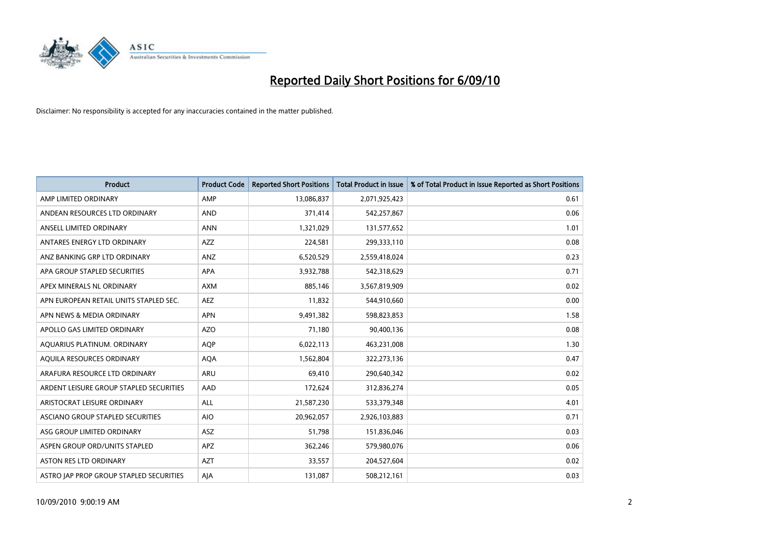

| <b>Product</b>                          | <b>Product Code</b> | <b>Reported Short Positions</b> | Total Product in Issue | % of Total Product in Issue Reported as Short Positions |
|-----------------------------------------|---------------------|---------------------------------|------------------------|---------------------------------------------------------|
| AMP LIMITED ORDINARY                    | AMP                 | 13,086,837                      | 2,071,925,423          | 0.61                                                    |
| ANDEAN RESOURCES LTD ORDINARY           | <b>AND</b>          | 371,414                         | 542,257,867            | 0.06                                                    |
| ANSELL LIMITED ORDINARY                 | <b>ANN</b>          | 1,321,029                       | 131,577,652            | 1.01                                                    |
| ANTARES ENERGY LTD ORDINARY             | <b>AZZ</b>          | 224,581                         | 299,333,110            | 0.08                                                    |
| ANZ BANKING GRP LTD ORDINARY            | ANZ                 | 6,520,529                       | 2,559,418,024          | 0.23                                                    |
| APA GROUP STAPLED SECURITIES            | <b>APA</b>          | 3,932,788                       | 542,318,629            | 0.71                                                    |
| APEX MINERALS NL ORDINARY               | <b>AXM</b>          | 885.146                         | 3,567,819,909          | 0.02                                                    |
| APN EUROPEAN RETAIL UNITS STAPLED SEC.  | <b>AEZ</b>          | 11,832                          | 544,910,660            | 0.00                                                    |
| APN NEWS & MEDIA ORDINARY               | APN                 | 9,491,382                       | 598,823,853            | 1.58                                                    |
| APOLLO GAS LIMITED ORDINARY             | <b>AZO</b>          | 71,180                          | 90,400,136             | 0.08                                                    |
| AQUARIUS PLATINUM. ORDINARY             | AQP                 | 6,022,113                       | 463,231,008            | 1.30                                                    |
| AQUILA RESOURCES ORDINARY               | <b>AQA</b>          | 1,562,804                       | 322,273,136            | 0.47                                                    |
| ARAFURA RESOURCE LTD ORDINARY           | <b>ARU</b>          | 69,410                          | 290,640,342            | 0.02                                                    |
| ARDENT LEISURE GROUP STAPLED SECURITIES | AAD                 | 172,624                         | 312,836,274            | 0.05                                                    |
| ARISTOCRAT LEISURE ORDINARY             | <b>ALL</b>          | 21,587,230                      | 533,379,348            | 4.01                                                    |
| ASCIANO GROUP STAPLED SECURITIES        | <b>AIO</b>          | 20,962,057                      | 2,926,103,883          | 0.71                                                    |
| ASG GROUP LIMITED ORDINARY              | <b>ASZ</b>          | 51,798                          | 151,836,046            | 0.03                                                    |
| ASPEN GROUP ORD/UNITS STAPLED           | <b>APZ</b>          | 362,246                         | 579,980,076            | 0.06                                                    |
| <b>ASTON RES LTD ORDINARY</b>           | <b>AZT</b>          | 33,557                          | 204,527,604            | 0.02                                                    |
| ASTRO JAP PROP GROUP STAPLED SECURITIES | AJA                 | 131,087                         | 508,212,161            | 0.03                                                    |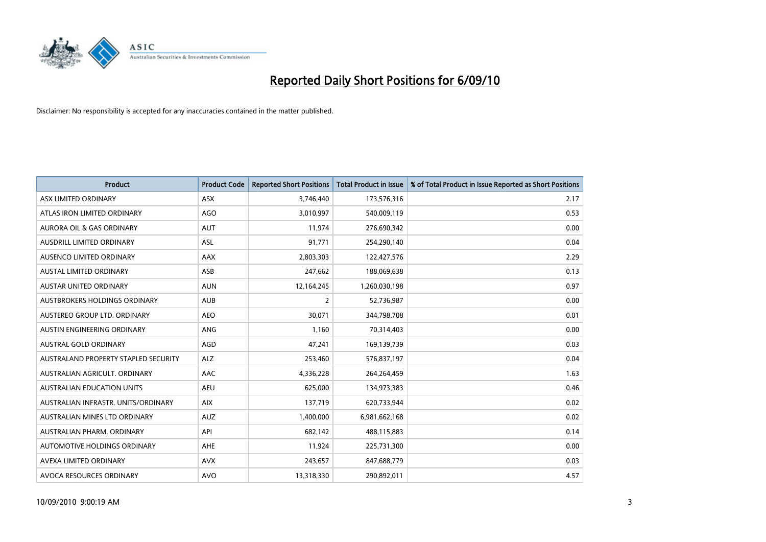

| <b>Product</b>                       | <b>Product Code</b> | <b>Reported Short Positions</b> | <b>Total Product in Issue</b> | % of Total Product in Issue Reported as Short Positions |
|--------------------------------------|---------------------|---------------------------------|-------------------------------|---------------------------------------------------------|
| ASX LIMITED ORDINARY                 | ASX                 | 3,746,440                       | 173,576,316                   | 2.17                                                    |
| ATLAS IRON LIMITED ORDINARY          | <b>AGO</b>          | 3,010,997                       | 540,009,119                   | 0.53                                                    |
| <b>AURORA OIL &amp; GAS ORDINARY</b> | <b>AUT</b>          | 11,974                          | 276,690,342                   | 0.00                                                    |
| AUSDRILL LIMITED ORDINARY            | ASL                 | 91,771                          | 254,290,140                   | 0.04                                                    |
| AUSENCO LIMITED ORDINARY             | AAX                 | 2,803,303                       | 122,427,576                   | 2.29                                                    |
| <b>AUSTAL LIMITED ORDINARY</b>       | ASB                 | 247,662                         | 188,069,638                   | 0.13                                                    |
| <b>AUSTAR UNITED ORDINARY</b>        | <b>AUN</b>          | 12,164,245                      | 1,260,030,198                 | 0.97                                                    |
| AUSTBROKERS HOLDINGS ORDINARY        | <b>AUB</b>          | $\overline{2}$                  | 52,736,987                    | 0.00                                                    |
| AUSTEREO GROUP LTD. ORDINARY         | <b>AEO</b>          | 30,071                          | 344,798,708                   | 0.01                                                    |
| AUSTIN ENGINEERING ORDINARY          | ANG                 | 1,160                           | 70,314,403                    | 0.00                                                    |
| AUSTRAL GOLD ORDINARY                | AGD                 | 47,241                          | 169,139,739                   | 0.03                                                    |
| AUSTRALAND PROPERTY STAPLED SECURITY | <b>ALZ</b>          | 253,460                         | 576,837,197                   | 0.04                                                    |
| AUSTRALIAN AGRICULT, ORDINARY        | <b>AAC</b>          | 4,336,228                       | 264,264,459                   | 1.63                                                    |
| <b>AUSTRALIAN EDUCATION UNITS</b>    | <b>AEU</b>          | 625.000                         | 134,973,383                   | 0.46                                                    |
| AUSTRALIAN INFRASTR, UNITS/ORDINARY  | <b>AIX</b>          | 137,719                         | 620,733,944                   | 0.02                                                    |
| AUSTRALIAN MINES LTD ORDINARY        | <b>AUZ</b>          | 1,400,000                       | 6,981,662,168                 | 0.02                                                    |
| AUSTRALIAN PHARM, ORDINARY           | API                 | 682,142                         | 488,115,883                   | 0.14                                                    |
| AUTOMOTIVE HOLDINGS ORDINARY         | <b>AHE</b>          | 11,924                          | 225,731,300                   | 0.00                                                    |
| AVEXA LIMITED ORDINARY               | <b>AVX</b>          | 243,657                         | 847,688,779                   | 0.03                                                    |
| AVOCA RESOURCES ORDINARY             | <b>AVO</b>          | 13,318,330                      | 290,892,011                   | 4.57                                                    |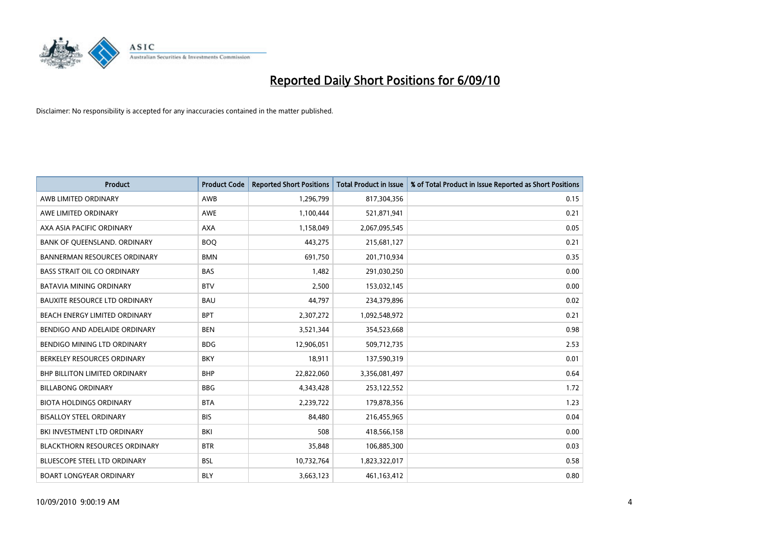

| <b>Product</b>                       | <b>Product Code</b> | <b>Reported Short Positions</b> | Total Product in Issue | % of Total Product in Issue Reported as Short Positions |
|--------------------------------------|---------------------|---------------------------------|------------------------|---------------------------------------------------------|
| AWB LIMITED ORDINARY                 | AWB                 | 1,296,799                       | 817,304,356            | 0.15                                                    |
| AWE LIMITED ORDINARY                 | AWE                 | 1,100,444                       | 521,871,941            | 0.21                                                    |
| AXA ASIA PACIFIC ORDINARY            | <b>AXA</b>          | 1,158,049                       | 2,067,095,545          | 0.05                                                    |
| BANK OF QUEENSLAND. ORDINARY         | <b>BOO</b>          | 443,275                         | 215,681,127            | 0.21                                                    |
| <b>BANNERMAN RESOURCES ORDINARY</b>  | <b>BMN</b>          | 691,750                         | 201,710,934            | 0.35                                                    |
| <b>BASS STRAIT OIL CO ORDINARY</b>   | <b>BAS</b>          | 1,482                           | 291,030,250            | 0.00                                                    |
| <b>BATAVIA MINING ORDINARY</b>       | <b>BTV</b>          | 2,500                           | 153,032,145            | 0.00                                                    |
| <b>BAUXITE RESOURCE LTD ORDINARY</b> | <b>BAU</b>          | 44,797                          | 234,379,896            | 0.02                                                    |
| BEACH ENERGY LIMITED ORDINARY        | <b>BPT</b>          | 2,307,272                       | 1,092,548,972          | 0.21                                                    |
| BENDIGO AND ADELAIDE ORDINARY        | <b>BEN</b>          | 3,521,344                       | 354,523,668            | 0.98                                                    |
| BENDIGO MINING LTD ORDINARY          | <b>BDG</b>          | 12,906,051                      | 509,712,735            | 2.53                                                    |
| BERKELEY RESOURCES ORDINARY          | <b>BKY</b>          | 18,911                          | 137,590,319            | 0.01                                                    |
| <b>BHP BILLITON LIMITED ORDINARY</b> | <b>BHP</b>          | 22,822,060                      | 3,356,081,497          | 0.64                                                    |
| <b>BILLABONG ORDINARY</b>            | <b>BBG</b>          | 4,343,428                       | 253,122,552            | 1.72                                                    |
| <b>BIOTA HOLDINGS ORDINARY</b>       | <b>BTA</b>          | 2,239,722                       | 179,878,356            | 1.23                                                    |
| <b>BISALLOY STEEL ORDINARY</b>       | <b>BIS</b>          | 84,480                          | 216,455,965            | 0.04                                                    |
| BKI INVESTMENT LTD ORDINARY          | BKI                 | 508                             | 418,566,158            | 0.00                                                    |
| <b>BLACKTHORN RESOURCES ORDINARY</b> | <b>BTR</b>          | 35,848                          | 106,885,300            | 0.03                                                    |
| <b>BLUESCOPE STEEL LTD ORDINARY</b>  | <b>BSL</b>          | 10,732,764                      | 1,823,322,017          | 0.58                                                    |
| <b>BOART LONGYEAR ORDINARY</b>       | <b>BLY</b>          | 3,663,123                       | 461,163,412            | 0.80                                                    |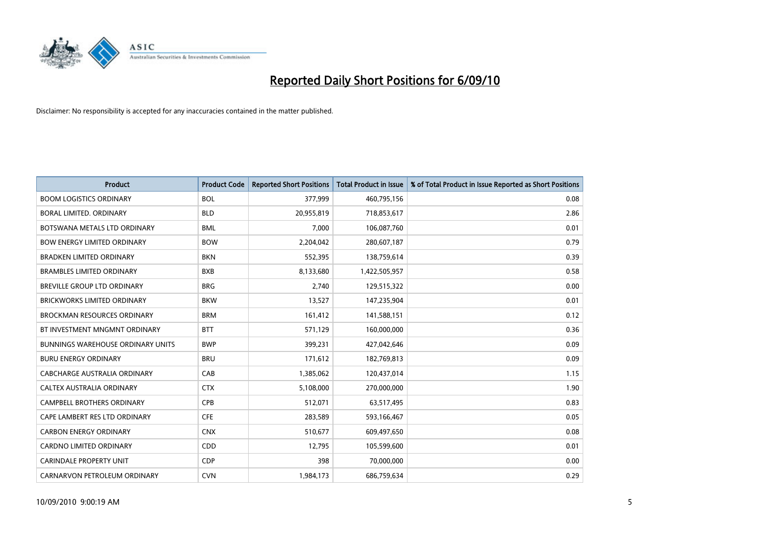

| <b>Product</b>                           | <b>Product Code</b> | <b>Reported Short Positions</b> | <b>Total Product in Issue</b> | % of Total Product in Issue Reported as Short Positions |
|------------------------------------------|---------------------|---------------------------------|-------------------------------|---------------------------------------------------------|
| <b>BOOM LOGISTICS ORDINARY</b>           | <b>BOL</b>          | 377,999                         | 460,795,156                   | 0.08                                                    |
| BORAL LIMITED. ORDINARY                  | <b>BLD</b>          | 20,955,819                      | 718,853,617                   | 2.86                                                    |
| BOTSWANA METALS LTD ORDINARY             | <b>BML</b>          | 7,000                           | 106,087,760                   | 0.01                                                    |
| <b>BOW ENERGY LIMITED ORDINARY</b>       | <b>BOW</b>          | 2,204,042                       | 280,607,187                   | 0.79                                                    |
| <b>BRADKEN LIMITED ORDINARY</b>          | <b>BKN</b>          | 552,395                         | 138,759,614                   | 0.39                                                    |
| <b>BRAMBLES LIMITED ORDINARY</b>         | <b>BXB</b>          | 8,133,680                       | 1,422,505,957                 | 0.58                                                    |
| <b>BREVILLE GROUP LTD ORDINARY</b>       | <b>BRG</b>          | 2.740                           | 129,515,322                   | 0.00                                                    |
| <b>BRICKWORKS LIMITED ORDINARY</b>       | <b>BKW</b>          | 13,527                          | 147,235,904                   | 0.01                                                    |
| <b>BROCKMAN RESOURCES ORDINARY</b>       | <b>BRM</b>          | 161,412                         | 141,588,151                   | 0.12                                                    |
| BT INVESTMENT MNGMNT ORDINARY            | <b>BTT</b>          | 571,129                         | 160,000,000                   | 0.36                                                    |
| <b>BUNNINGS WAREHOUSE ORDINARY UNITS</b> | <b>BWP</b>          | 399,231                         | 427,042,646                   | 0.09                                                    |
| <b>BURU ENERGY ORDINARY</b>              | <b>BRU</b>          | 171,612                         | 182,769,813                   | 0.09                                                    |
| CABCHARGE AUSTRALIA ORDINARY             | CAB                 | 1,385,062                       | 120,437,014                   | 1.15                                                    |
| CALTEX AUSTRALIA ORDINARY                | <b>CTX</b>          | 5,108,000                       | 270,000,000                   | 1.90                                                    |
| <b>CAMPBELL BROTHERS ORDINARY</b>        | <b>CPB</b>          | 512,071                         | 63,517,495                    | 0.83                                                    |
| CAPE LAMBERT RES LTD ORDINARY            | <b>CFE</b>          | 283,589                         | 593,166,467                   | 0.05                                                    |
| <b>CARBON ENERGY ORDINARY</b>            | <b>CNX</b>          | 510,677                         | 609,497,650                   | 0.08                                                    |
| CARDNO LIMITED ORDINARY                  | <b>CDD</b>          | 12,795                          | 105,599,600                   | 0.01                                                    |
| <b>CARINDALE PROPERTY UNIT</b>           | <b>CDP</b>          | 398                             | 70,000,000                    | 0.00                                                    |
| CARNARVON PETROLEUM ORDINARY             | <b>CVN</b>          | 1,984,173                       | 686,759,634                   | 0.29                                                    |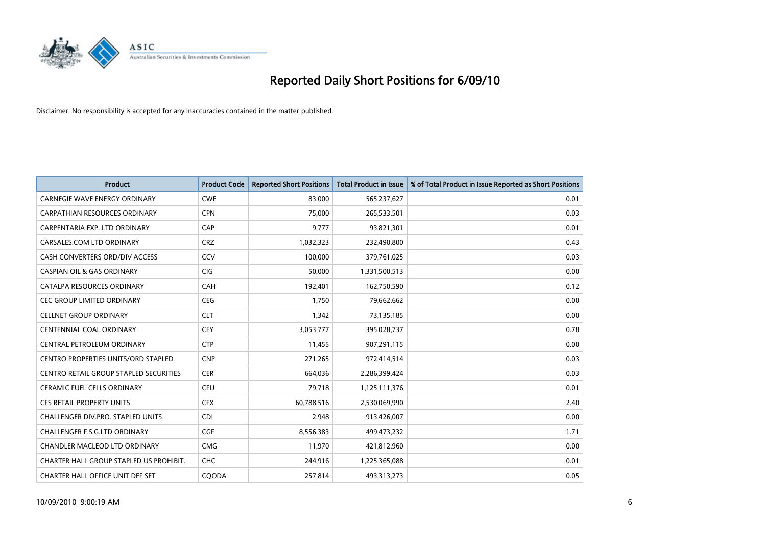

| <b>Product</b>                                | <b>Product Code</b> | <b>Reported Short Positions</b> | Total Product in Issue | % of Total Product in Issue Reported as Short Positions |
|-----------------------------------------------|---------------------|---------------------------------|------------------------|---------------------------------------------------------|
| <b>CARNEGIE WAVE ENERGY ORDINARY</b>          | <b>CWE</b>          | 83,000                          | 565,237,627            | 0.01                                                    |
| CARPATHIAN RESOURCES ORDINARY                 | <b>CPN</b>          | 75,000                          | 265,533,501            | 0.03                                                    |
| CARPENTARIA EXP. LTD ORDINARY                 | CAP                 | 9,777                           | 93,821,301             | 0.01                                                    |
| CARSALES.COM LTD ORDINARY                     | <b>CRZ</b>          | 1,032,323                       | 232,490,800            | 0.43                                                    |
| CASH CONVERTERS ORD/DIV ACCESS                | CCV                 | 100,000                         | 379,761,025            | 0.03                                                    |
| <b>CASPIAN OIL &amp; GAS ORDINARY</b>         | <b>CIG</b>          | 50,000                          | 1,331,500,513          | 0.00                                                    |
| CATALPA RESOURCES ORDINARY                    | <b>CAH</b>          | 192,401                         | 162,750,590            | 0.12                                                    |
| <b>CEC GROUP LIMITED ORDINARY</b>             | <b>CEG</b>          | 1,750                           | 79,662,662             | 0.00                                                    |
| <b>CELLNET GROUP ORDINARY</b>                 | <b>CLT</b>          | 1,342                           | 73,135,185             | 0.00                                                    |
| <b>CENTENNIAL COAL ORDINARY</b>               | <b>CEY</b>          | 3,053,777                       | 395,028,737            | 0.78                                                    |
| CENTRAL PETROLEUM ORDINARY                    | <b>CTP</b>          | 11,455                          | 907,291,115            | 0.00                                                    |
| <b>CENTRO PROPERTIES UNITS/ORD STAPLED</b>    | <b>CNP</b>          | 271,265                         | 972,414,514            | 0.03                                                    |
| <b>CENTRO RETAIL GROUP STAPLED SECURITIES</b> | <b>CER</b>          | 664,036                         | 2,286,399,424          | 0.03                                                    |
| <b>CERAMIC FUEL CELLS ORDINARY</b>            | <b>CFU</b>          | 79,718                          | 1,125,111,376          | 0.01                                                    |
| <b>CFS RETAIL PROPERTY UNITS</b>              | <b>CFX</b>          | 60,788,516                      | 2,530,069,990          | 2.40                                                    |
| CHALLENGER DIV.PRO. STAPLED UNITS             | <b>CDI</b>          | 2,948                           | 913,426,007            | 0.00                                                    |
| <b>CHALLENGER F.S.G.LTD ORDINARY</b>          | <b>CGF</b>          | 8,556,383                       | 499,473,232            | 1.71                                                    |
| CHANDLER MACLEOD LTD ORDINARY                 | <b>CMG</b>          | 11,970                          | 421,812,960            | 0.00                                                    |
| CHARTER HALL GROUP STAPLED US PROHIBIT.       | <b>CHC</b>          | 244,916                         | 1,225,365,088          | 0.01                                                    |
| CHARTER HALL OFFICE UNIT DEF SET              | COODA               | 257,814                         | 493,313,273            | 0.05                                                    |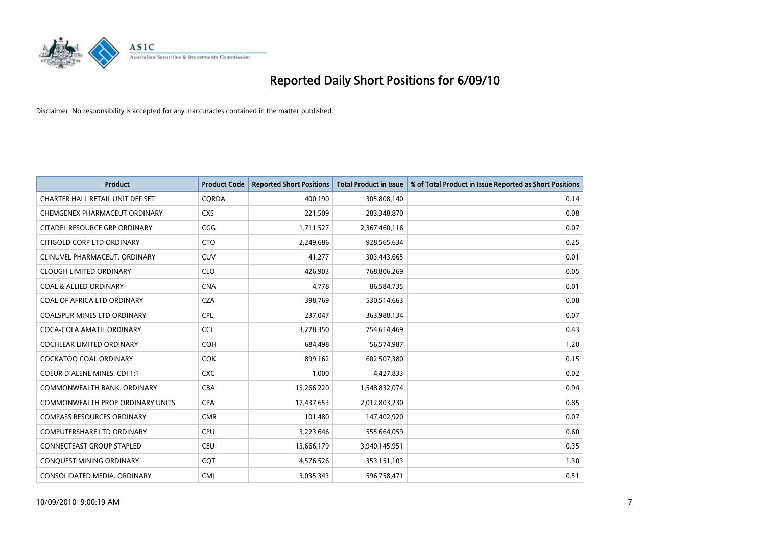

| <b>Product</b>                          | <b>Product Code</b> | <b>Reported Short Positions</b> | <b>Total Product in Issue</b> | % of Total Product in Issue Reported as Short Positions |
|-----------------------------------------|---------------------|---------------------------------|-------------------------------|---------------------------------------------------------|
| CHARTER HALL RETAIL UNIT DEF SET        | CQRDA               | 400,190                         | 305,808,140                   | 0.14                                                    |
| CHEMGENEX PHARMACEUT ORDINARY           | <b>CXS</b>          | 221,509                         | 283,348,870                   | 0.08                                                    |
| CITADEL RESOURCE GRP ORDINARY           | CGG                 | 1,711,527                       | 2,367,460,116                 | 0.07                                                    |
| CITIGOLD CORP LTD ORDINARY              | <b>CTO</b>          | 2,249,686                       | 928,565,634                   | 0.25                                                    |
| CLINUVEL PHARMACEUT, ORDINARY           | <b>CUV</b>          | 41,277                          | 303,443,665                   | 0.01                                                    |
| <b>CLOUGH LIMITED ORDINARY</b>          | <b>CLO</b>          | 426,903                         | 768,806,269                   | 0.05                                                    |
| <b>COAL &amp; ALLIED ORDINARY</b>       | <b>CNA</b>          | 4,778                           | 86,584,735                    | 0.01                                                    |
| COAL OF AFRICA LTD ORDINARY             | <b>CZA</b>          | 398,769                         | 530,514,663                   | 0.08                                                    |
| COALSPUR MINES LTD ORDINARY             | <b>CPL</b>          | 237,047                         | 363,988,134                   | 0.07                                                    |
| COCA-COLA AMATIL ORDINARY               | <b>CCL</b>          | 3,278,350                       | 754,614,469                   | 0.43                                                    |
| COCHLEAR LIMITED ORDINARY               | <b>COH</b>          | 684,498                         | 56,574,987                    | 1.20                                                    |
| <b>COCKATOO COAL ORDINARY</b>           | <b>COK</b>          | 899,162                         | 602,507,380                   | 0.15                                                    |
| COEUR D'ALENE MINES. CDI 1:1            | <b>CXC</b>          | 1,000                           | 4,427,833                     | 0.02                                                    |
| COMMONWEALTH BANK, ORDINARY             | <b>CBA</b>          | 15,266,220                      | 1,548,832,074                 | 0.94                                                    |
| <b>COMMONWEALTH PROP ORDINARY UNITS</b> | <b>CPA</b>          | 17,437,653                      | 2,012,803,230                 | 0.85                                                    |
| <b>COMPASS RESOURCES ORDINARY</b>       | <b>CMR</b>          | 101,480                         | 147,402,920                   | 0.07                                                    |
| <b>COMPUTERSHARE LTD ORDINARY</b>       | <b>CPU</b>          | 3,223,646                       | 555,664,059                   | 0.60                                                    |
| CONNECTEAST GROUP STAPLED               | <b>CEU</b>          | 13,666,179                      | 3,940,145,951                 | 0.35                                                    |
| CONQUEST MINING ORDINARY                | COT                 | 4,576,526                       | 353,151,103                   | 1.30                                                    |
| CONSOLIDATED MEDIA, ORDINARY            | <b>CMI</b>          | 3,035,343                       | 596,758,471                   | 0.51                                                    |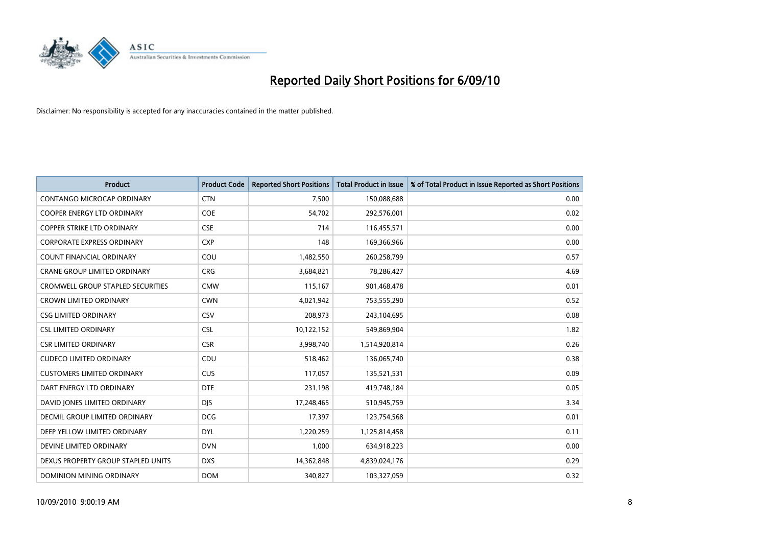

| <b>Product</b>                           | <b>Product Code</b> | <b>Reported Short Positions</b> | Total Product in Issue | % of Total Product in Issue Reported as Short Positions |
|------------------------------------------|---------------------|---------------------------------|------------------------|---------------------------------------------------------|
| CONTANGO MICROCAP ORDINARY               | <b>CTN</b>          | 7,500                           | 150,088,688            | 0.00                                                    |
| COOPER ENERGY LTD ORDINARY               | <b>COE</b>          | 54,702                          | 292,576,001            | 0.02                                                    |
| <b>COPPER STRIKE LTD ORDINARY</b>        | <b>CSE</b>          | 714                             | 116,455,571            | 0.00                                                    |
| <b>CORPORATE EXPRESS ORDINARY</b>        | <b>CXP</b>          | 148                             | 169,366,966            | 0.00                                                    |
| <b>COUNT FINANCIAL ORDINARY</b>          | COU                 | 1,482,550                       | 260,258,799            | 0.57                                                    |
| <b>CRANE GROUP LIMITED ORDINARY</b>      | <b>CRG</b>          | 3,684,821                       | 78,286,427             | 4.69                                                    |
| <b>CROMWELL GROUP STAPLED SECURITIES</b> | <b>CMW</b>          | 115,167                         | 901,468,478            | 0.01                                                    |
| <b>CROWN LIMITED ORDINARY</b>            | <b>CWN</b>          | 4,021,942                       | 753,555,290            | 0.52                                                    |
| <b>CSG LIMITED ORDINARY</b>              | CSV                 | 208,973                         | 243,104,695            | 0.08                                                    |
| <b>CSL LIMITED ORDINARY</b>              | <b>CSL</b>          | 10,122,152                      | 549,869,904            | 1.82                                                    |
| <b>CSR LIMITED ORDINARY</b>              | <b>CSR</b>          | 3,998,740                       | 1,514,920,814          | 0.26                                                    |
| <b>CUDECO LIMITED ORDINARY</b>           | CDU                 | 518,462                         | 136,065,740            | 0.38                                                    |
| <b>CUSTOMERS LIMITED ORDINARY</b>        | CUS                 | 117,057                         | 135,521,531            | 0.09                                                    |
| DART ENERGY LTD ORDINARY                 | <b>DTE</b>          | 231,198                         | 419,748,184            | 0.05                                                    |
| DAVID JONES LIMITED ORDINARY             | <b>DJS</b>          | 17,248,465                      | 510,945,759            | 3.34                                                    |
| DECMIL GROUP LIMITED ORDINARY            | <b>DCG</b>          | 17,397                          | 123,754,568            | 0.01                                                    |
| DEEP YELLOW LIMITED ORDINARY             | <b>DYL</b>          | 1,220,259                       | 1,125,814,458          | 0.11                                                    |
| DEVINE LIMITED ORDINARY                  | <b>DVN</b>          | 1,000                           | 634,918,223            | 0.00                                                    |
| DEXUS PROPERTY GROUP STAPLED UNITS       | <b>DXS</b>          | 14,362,848                      | 4,839,024,176          | 0.29                                                    |
| DOMINION MINING ORDINARY                 | <b>DOM</b>          | 340,827                         | 103,327,059            | 0.32                                                    |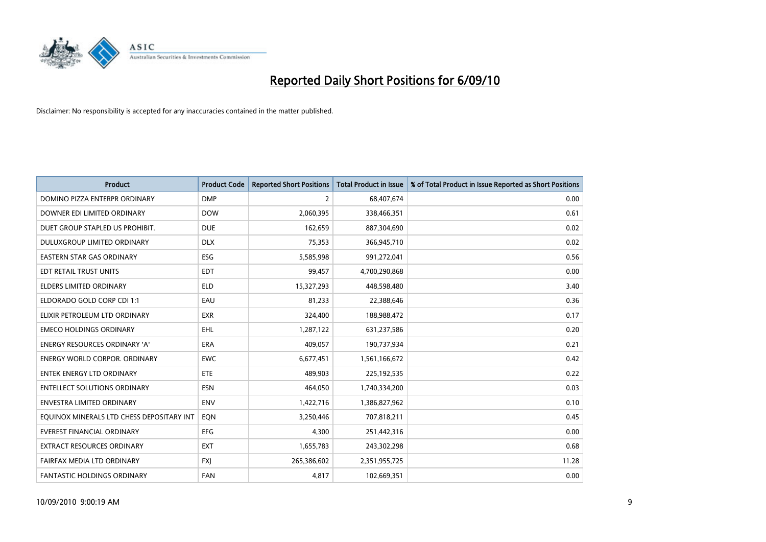

| <b>Product</b>                            | <b>Product Code</b> | <b>Reported Short Positions</b> | <b>Total Product in Issue</b> | % of Total Product in Issue Reported as Short Positions |
|-------------------------------------------|---------------------|---------------------------------|-------------------------------|---------------------------------------------------------|
| DOMINO PIZZA ENTERPR ORDINARY             | <b>DMP</b>          | $\overline{2}$                  | 68,407,674                    | 0.00                                                    |
| DOWNER EDI LIMITED ORDINARY               | <b>DOW</b>          | 2,060,395                       | 338,466,351                   | 0.61                                                    |
| DUET GROUP STAPLED US PROHIBIT.           | <b>DUE</b>          | 162,659                         | 887,304,690                   | 0.02                                                    |
| DULUXGROUP LIMITED ORDINARY               | <b>DLX</b>          | 75,353                          | 366,945,710                   | 0.02                                                    |
| <b>EASTERN STAR GAS ORDINARY</b>          | <b>ESG</b>          | 5,585,998                       | 991,272,041                   | 0.56                                                    |
| EDT RETAIL TRUST UNITS                    | <b>EDT</b>          | 99,457                          | 4,700,290,868                 | 0.00                                                    |
| ELDERS LIMITED ORDINARY                   | <b>ELD</b>          | 15,327,293                      | 448,598,480                   | 3.40                                                    |
| ELDORADO GOLD CORP CDI 1:1                | EAU                 | 81.233                          | 22,388,646                    | 0.36                                                    |
| ELIXIR PETROLEUM LTD ORDINARY             | <b>EXR</b>          | 324,400                         | 188,988,472                   | 0.17                                                    |
| <b>EMECO HOLDINGS ORDINARY</b>            | <b>EHL</b>          | 1,287,122                       | 631,237,586                   | 0.20                                                    |
| <b>ENERGY RESOURCES ORDINARY 'A'</b>      | <b>ERA</b>          | 409,057                         | 190,737,934                   | 0.21                                                    |
| ENERGY WORLD CORPOR. ORDINARY             | <b>EWC</b>          | 6,677,451                       | 1,561,166,672                 | 0.42                                                    |
| <b>ENTEK ENERGY LTD ORDINARY</b>          | <b>ETE</b>          | 489,903                         | 225,192,535                   | 0.22                                                    |
| <b>ENTELLECT SOLUTIONS ORDINARY</b>       | <b>ESN</b>          | 464,050                         | 1,740,334,200                 | 0.03                                                    |
| <b>ENVESTRA LIMITED ORDINARY</b>          | <b>ENV</b>          | 1,422,716                       | 1,386,827,962                 | 0.10                                                    |
| EQUINOX MINERALS LTD CHESS DEPOSITARY INT | EQN                 | 3,250,446                       | 707,818,211                   | 0.45                                                    |
| EVEREST FINANCIAL ORDINARY                | EFG                 | 4,300                           | 251,442,316                   | 0.00                                                    |
| EXTRACT RESOURCES ORDINARY                | <b>EXT</b>          | 1,655,783                       | 243,302,298                   | 0.68                                                    |
| FAIRFAX MEDIA LTD ORDINARY                | <b>FXI</b>          | 265,386,602                     | 2,351,955,725                 | 11.28                                                   |
| FANTASTIC HOLDINGS ORDINARY               | FAN                 | 4,817                           | 102,669,351                   | 0.00                                                    |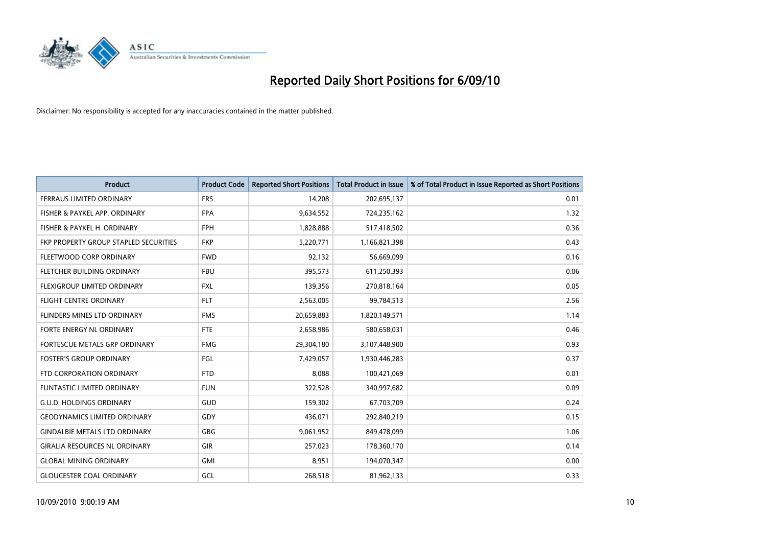

| <b>Product</b>                        | <b>Product Code</b> | <b>Reported Short Positions</b> | <b>Total Product in Issue</b> | % of Total Product in Issue Reported as Short Positions |
|---------------------------------------|---------------------|---------------------------------|-------------------------------|---------------------------------------------------------|
| <b>FERRAUS LIMITED ORDINARY</b>       | <b>FRS</b>          | 14,208                          | 202,695,137                   | 0.01                                                    |
| FISHER & PAYKEL APP. ORDINARY         | <b>FPA</b>          | 9,634,552                       | 724,235,162                   | 1.32                                                    |
| FISHER & PAYKEL H. ORDINARY           | <b>FPH</b>          | 1,828,888                       | 517,418,502                   | 0.36                                                    |
| FKP PROPERTY GROUP STAPLED SECURITIES | <b>FKP</b>          | 5,220,771                       | 1,166,821,398                 | 0.43                                                    |
| FLEETWOOD CORP ORDINARY               | <b>FWD</b>          | 92,132                          | 56,669,099                    | 0.16                                                    |
| <b>FLETCHER BUILDING ORDINARY</b>     | <b>FBU</b>          | 395,573                         | 611,250,393                   | 0.06                                                    |
| FLEXIGROUP LIMITED ORDINARY           | <b>FXL</b>          | 139,356                         | 270,818,164                   | 0.05                                                    |
| <b>FLIGHT CENTRE ORDINARY</b>         | <b>FLT</b>          | 2,563,005                       | 99,784,513                    | 2.56                                                    |
| FLINDERS MINES LTD ORDINARY           | <b>FMS</b>          | 20,659,883                      | 1,820,149,571                 | 1.14                                                    |
| FORTE ENERGY NL ORDINARY              | <b>FTE</b>          | 2,658,986                       | 580,658,031                   | 0.46                                                    |
| FORTESCUE METALS GRP ORDINARY         | <b>FMG</b>          | 29,304,180                      | 3,107,448,900                 | 0.93                                                    |
| <b>FOSTER'S GROUP ORDINARY</b>        | FGL                 | 7,429,057                       | 1,930,446,283                 | 0.37                                                    |
| FTD CORPORATION ORDINARY              | <b>FTD</b>          | 8,088                           | 100,421,069                   | 0.01                                                    |
| <b>FUNTASTIC LIMITED ORDINARY</b>     | <b>FUN</b>          | 322,528                         | 340,997,682                   | 0.09                                                    |
| <b>G.U.D. HOLDINGS ORDINARY</b>       | GUD                 | 159,302                         | 67,703,709                    | 0.24                                                    |
| <b>GEODYNAMICS LIMITED ORDINARY</b>   | GDY                 | 436,071                         | 292,840,219                   | 0.15                                                    |
| <b>GINDALBIE METALS LTD ORDINARY</b>  | <b>GBG</b>          | 9,061,952                       | 849,478,099                   | 1.06                                                    |
| <b>GIRALIA RESOURCES NL ORDINARY</b>  | <b>GIR</b>          | 257,023                         | 178,360,170                   | 0.14                                                    |
| <b>GLOBAL MINING ORDINARY</b>         | <b>GMI</b>          | 8,951                           | 194,070,347                   | 0.00                                                    |
| <b>GLOUCESTER COAL ORDINARY</b>       | GCL                 | 268,518                         | 81,962,133                    | 0.33                                                    |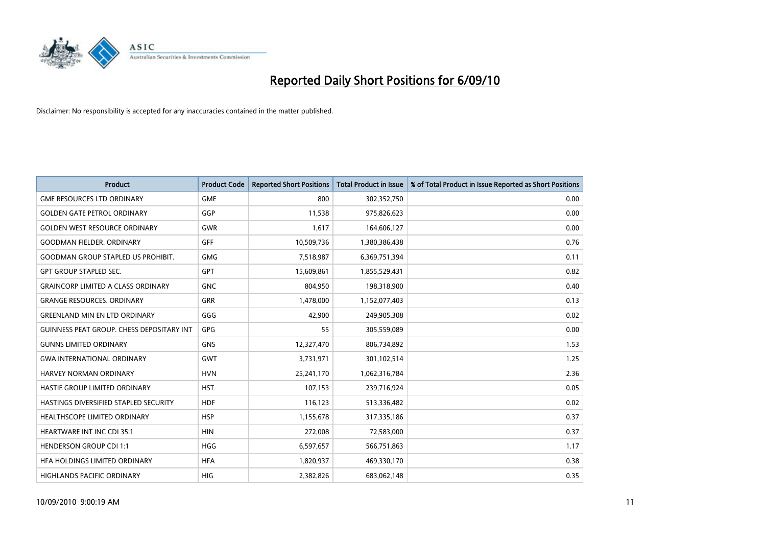

| <b>Product</b>                            | <b>Product Code</b> | <b>Reported Short Positions</b> | <b>Total Product in Issue</b> | % of Total Product in Issue Reported as Short Positions |
|-------------------------------------------|---------------------|---------------------------------|-------------------------------|---------------------------------------------------------|
| <b>GME RESOURCES LTD ORDINARY</b>         | <b>GME</b>          | 800                             | 302,352,750                   | 0.00                                                    |
| <b>GOLDEN GATE PETROL ORDINARY</b>        | GGP                 | 11,538                          | 975,826,623                   | 0.00                                                    |
| <b>GOLDEN WEST RESOURCE ORDINARY</b>      | <b>GWR</b>          | 1,617                           | 164,606,127                   | 0.00                                                    |
| <b>GOODMAN FIELDER, ORDINARY</b>          | <b>GFF</b>          | 10,509,736                      | 1,380,386,438                 | 0.76                                                    |
| <b>GOODMAN GROUP STAPLED US PROHIBIT.</b> | <b>GMG</b>          | 7,518,987                       | 6,369,751,394                 | 0.11                                                    |
| <b>GPT GROUP STAPLED SEC.</b>             | <b>GPT</b>          | 15,609,861                      | 1,855,529,431                 | 0.82                                                    |
| <b>GRAINCORP LIMITED A CLASS ORDINARY</b> | <b>GNC</b>          | 804,950                         | 198,318,900                   | 0.40                                                    |
| <b>GRANGE RESOURCES, ORDINARY</b>         | <b>GRR</b>          | 1,478,000                       | 1,152,077,403                 | 0.13                                                    |
| <b>GREENLAND MIN EN LTD ORDINARY</b>      | GGG                 | 42,900                          | 249,905,308                   | 0.02                                                    |
| GUINNESS PEAT GROUP. CHESS DEPOSITARY INT | GPG                 | 55                              | 305,559,089                   | 0.00                                                    |
| <b>GUNNS LIMITED ORDINARY</b>             | <b>GNS</b>          | 12,327,470                      | 806,734,892                   | 1.53                                                    |
| <b>GWA INTERNATIONAL ORDINARY</b>         | <b>GWT</b>          | 3,731,971                       | 301,102,514                   | 1.25                                                    |
| HARVEY NORMAN ORDINARY                    | <b>HVN</b>          | 25,241,170                      | 1,062,316,784                 | 2.36                                                    |
| HASTIE GROUP LIMITED ORDINARY             | <b>HST</b>          | 107,153                         | 239,716,924                   | 0.05                                                    |
| HASTINGS DIVERSIFIED STAPLED SECURITY     | <b>HDF</b>          | 116,123                         | 513,336,482                   | 0.02                                                    |
| <b>HEALTHSCOPE LIMITED ORDINARY</b>       | <b>HSP</b>          | 1,155,678                       | 317,335,186                   | 0.37                                                    |
| <b>HEARTWARE INT INC CDI 35:1</b>         | <b>HIN</b>          | 272,008                         | 72,583,000                    | 0.37                                                    |
| <b>HENDERSON GROUP CDI 1:1</b>            | <b>HGG</b>          | 6,597,657                       | 566,751,863                   | 1.17                                                    |
| HFA HOLDINGS LIMITED ORDINARY             | <b>HFA</b>          | 1,820,937                       | 469,330,170                   | 0.38                                                    |
| HIGHLANDS PACIFIC ORDINARY                | <b>HIG</b>          | 2,382,826                       | 683,062,148                   | 0.35                                                    |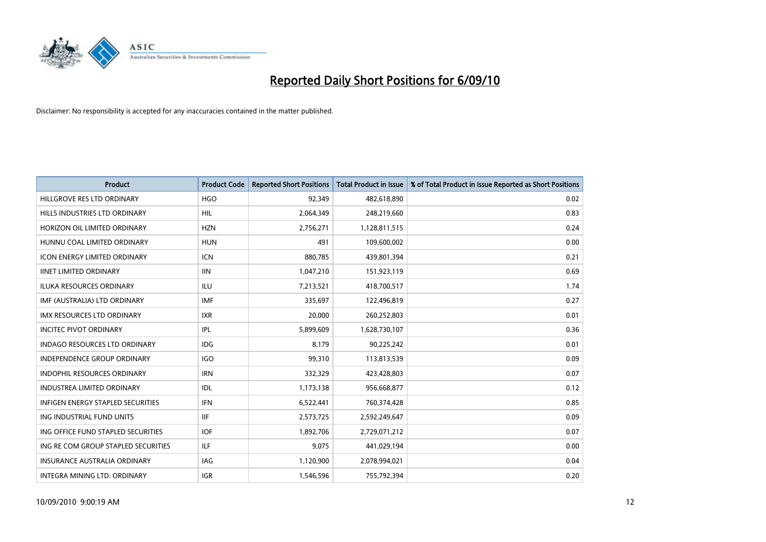

| <b>Product</b>                           | <b>Product Code</b> | <b>Reported Short Positions</b> | <b>Total Product in Issue</b> | % of Total Product in Issue Reported as Short Positions |
|------------------------------------------|---------------------|---------------------------------|-------------------------------|---------------------------------------------------------|
| HILLGROVE RES LTD ORDINARY               | <b>HGO</b>          | 92,349                          | 482,618,890                   | 0.02                                                    |
| HILLS INDUSTRIES LTD ORDINARY            | <b>HIL</b>          | 2,064,349                       | 248,219,660                   | 0.83                                                    |
| HORIZON OIL LIMITED ORDINARY             | <b>HZN</b>          | 2,756,271                       | 1,128,811,515                 | 0.24                                                    |
| HUNNU COAL LIMITED ORDINARY              | <b>HUN</b>          | 491                             | 109,600,002                   | 0.00                                                    |
| <b>ICON ENERGY LIMITED ORDINARY</b>      | <b>ICN</b>          | 880.785                         | 439,801,394                   | 0.21                                                    |
| <b>IINET LIMITED ORDINARY</b>            | <b>IIN</b>          | 1,047,210                       | 151,923,119                   | 0.69                                                    |
| <b>ILUKA RESOURCES ORDINARY</b>          | ILU                 | 7,213,521                       | 418,700,517                   | 1.74                                                    |
| IMF (AUSTRALIA) LTD ORDINARY             | <b>IMF</b>          | 335,697                         | 122,496,819                   | 0.27                                                    |
| IMX RESOURCES LTD ORDINARY               | <b>IXR</b>          | 20,000                          | 260,252,803                   | 0.01                                                    |
| <b>INCITEC PIVOT ORDINARY</b>            | <b>IPL</b>          | 5,899,609                       | 1,628,730,107                 | 0.36                                                    |
| <b>INDAGO RESOURCES LTD ORDINARY</b>     | <b>IDG</b>          | 8.179                           | 90,225,242                    | 0.01                                                    |
| <b>INDEPENDENCE GROUP ORDINARY</b>       | <b>IGO</b>          | 99,310                          | 113,813,539                   | 0.09                                                    |
| <b>INDOPHIL RESOURCES ORDINARY</b>       | <b>IRN</b>          | 332,329                         | 423,428,803                   | 0.07                                                    |
| <b>INDUSTREA LIMITED ORDINARY</b>        | IDL                 | 1,173,138                       | 956,668,877                   | 0.12                                                    |
| <b>INFIGEN ENERGY STAPLED SECURITIES</b> | <b>IFN</b>          | 6,522,441                       | 760,374,428                   | 0.85                                                    |
| ING INDUSTRIAL FUND UNITS                | <b>IIF</b>          | 2,573,725                       | 2,592,249,647                 | 0.09                                                    |
| ING OFFICE FUND STAPLED SECURITIES       | <b>IOF</b>          | 1,892,706                       | 2,729,071,212                 | 0.07                                                    |
| ING RE COM GROUP STAPLED SECURITIES      | ILF                 | 9,075                           | 441,029,194                   | 0.00                                                    |
| <b>INSURANCE AUSTRALIA ORDINARY</b>      | <b>IAG</b>          | 1,120,900                       | 2,078,994,021                 | 0.04                                                    |
| INTEGRA MINING LTD. ORDINARY             | <b>IGR</b>          | 1,546,596                       | 755,792,394                   | 0.20                                                    |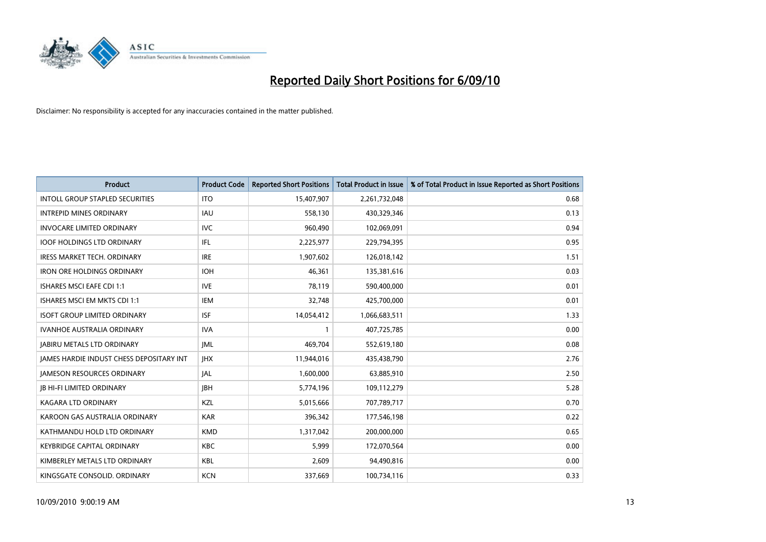

| <b>Product</b>                                  | <b>Product Code</b> | <b>Reported Short Positions</b> | Total Product in Issue | % of Total Product in Issue Reported as Short Positions |
|-------------------------------------------------|---------------------|---------------------------------|------------------------|---------------------------------------------------------|
| <b>INTOLL GROUP STAPLED SECURITIES</b>          | <b>ITO</b>          | 15,407,907                      | 2,261,732,048          | 0.68                                                    |
| <b>INTREPID MINES ORDINARY</b>                  | <b>IAU</b>          | 558,130                         | 430,329,346            | 0.13                                                    |
| <b>INVOCARE LIMITED ORDINARY</b>                | <b>IVC</b>          | 960,490                         | 102,069,091            | 0.94                                                    |
| <b>IOOF HOLDINGS LTD ORDINARY</b>               | IFL.                | 2,225,977                       | 229,794,395            | 0.95                                                    |
| <b>IRESS MARKET TECH. ORDINARY</b>              | <b>IRE</b>          | 1,907,602                       | 126,018,142            | 1.51                                                    |
| <b>IRON ORE HOLDINGS ORDINARY</b>               | <b>IOH</b>          | 46.361                          | 135,381,616            | 0.03                                                    |
| <b>ISHARES MSCI EAFE CDI 1:1</b>                | <b>IVE</b>          | 78,119                          | 590,400,000            | 0.01                                                    |
| ISHARES MSCI EM MKTS CDI 1:1                    | <b>IEM</b>          | 32,748                          | 425,700,000            | 0.01                                                    |
| <b>ISOFT GROUP LIMITED ORDINARY</b>             | <b>ISF</b>          | 14,054,412                      | 1,066,683,511          | 1.33                                                    |
| <b>IVANHOE AUSTRALIA ORDINARY</b>               | <b>IVA</b>          |                                 | 407,725,785            | 0.00                                                    |
| <b>JABIRU METALS LTD ORDINARY</b>               | <b>JML</b>          | 469,704                         | 552,619,180            | 0.08                                                    |
| <b>JAMES HARDIE INDUST CHESS DEPOSITARY INT</b> | <b>IHX</b>          | 11,944,016                      | 435,438,790            | 2.76                                                    |
| <b>JAMESON RESOURCES ORDINARY</b>               | <b>JAL</b>          | 1,600,000                       | 63,885,910             | 2.50                                                    |
| <b>JB HI-FI LIMITED ORDINARY</b>                | <b>IBH</b>          | 5,774,196                       | 109,112,279            | 5.28                                                    |
| <b>KAGARA LTD ORDINARY</b>                      | KZL                 | 5,015,666                       | 707,789,717            | 0.70                                                    |
| KAROON GAS AUSTRALIA ORDINARY                   | <b>KAR</b>          | 396,342                         | 177,546,198            | 0.22                                                    |
| KATHMANDU HOLD LTD ORDINARY                     | <b>KMD</b>          | 1,317,042                       | 200,000,000            | 0.65                                                    |
| <b>KEYBRIDGE CAPITAL ORDINARY</b>               | <b>KBC</b>          | 5,999                           | 172,070,564            | 0.00                                                    |
| KIMBERLEY METALS LTD ORDINARY                   | <b>KBL</b>          | 2,609                           | 94,490,816             | 0.00                                                    |
| KINGSGATE CONSOLID. ORDINARY                    | <b>KCN</b>          | 337,669                         | 100,734,116            | 0.33                                                    |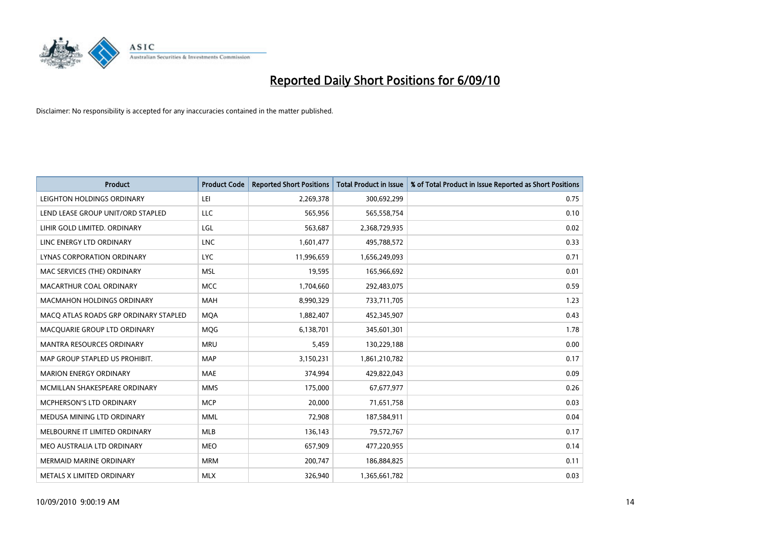

| <b>Product</b>                        | <b>Product Code</b> | <b>Reported Short Positions</b> | Total Product in Issue | % of Total Product in Issue Reported as Short Positions |
|---------------------------------------|---------------------|---------------------------------|------------------------|---------------------------------------------------------|
| LEIGHTON HOLDINGS ORDINARY            | LEI                 | 2,269,378                       | 300,692,299            | 0.75                                                    |
| LEND LEASE GROUP UNIT/ORD STAPLED     | LLC                 | 565,956                         | 565,558,754            | 0.10                                                    |
| LIHIR GOLD LIMITED. ORDINARY          | LGL                 | 563,687                         | 2,368,729,935          | 0.02                                                    |
| LINC ENERGY LTD ORDINARY              | <b>LNC</b>          | 1,601,477                       | 495,788,572            | 0.33                                                    |
| LYNAS CORPORATION ORDINARY            | <b>LYC</b>          | 11,996,659                      | 1,656,249,093          | 0.71                                                    |
| MAC SERVICES (THE) ORDINARY           | <b>MSL</b>          | 19,595                          | 165,966,692            | 0.01                                                    |
| MACARTHUR COAL ORDINARY               | <b>MCC</b>          | 1,704,660                       | 292,483,075            | 0.59                                                    |
| <b>MACMAHON HOLDINGS ORDINARY</b>     | <b>MAH</b>          | 8,990,329                       | 733,711,705            | 1.23                                                    |
| MACQ ATLAS ROADS GRP ORDINARY STAPLED | <b>MOA</b>          | 1,882,407                       | 452,345,907            | 0.43                                                    |
| MACOUARIE GROUP LTD ORDINARY          | <b>MOG</b>          | 6,138,701                       | 345,601,301            | 1.78                                                    |
| <b>MANTRA RESOURCES ORDINARY</b>      | <b>MRU</b>          | 5,459                           | 130,229,188            | 0.00                                                    |
| MAP GROUP STAPLED US PROHIBIT.        | <b>MAP</b>          | 3,150,231                       | 1,861,210,782          | 0.17                                                    |
| <b>MARION ENERGY ORDINARY</b>         | <b>MAE</b>          | 374.994                         | 429,822,043            | 0.09                                                    |
| MCMILLAN SHAKESPEARE ORDINARY         | <b>MMS</b>          | 175.000                         | 67,677,977             | 0.26                                                    |
| MCPHERSON'S LTD ORDINARY              | <b>MCP</b>          | 20,000                          | 71,651,758             | 0.03                                                    |
| MEDUSA MINING LTD ORDINARY            | <b>MML</b>          | 72,908                          | 187,584,911            | 0.04                                                    |
| MELBOURNE IT LIMITED ORDINARY         | <b>MLB</b>          | 136,143                         | 79,572,767             | 0.17                                                    |
| MEO AUSTRALIA LTD ORDINARY            | <b>MEO</b>          | 657,909                         | 477,220,955            | 0.14                                                    |
| <b>MERMAID MARINE ORDINARY</b>        | <b>MRM</b>          | 200,747                         | 186,884,825            | 0.11                                                    |
| <b>METALS X LIMITED ORDINARY</b>      | <b>MLX</b>          | 326.940                         | 1,365,661,782          | 0.03                                                    |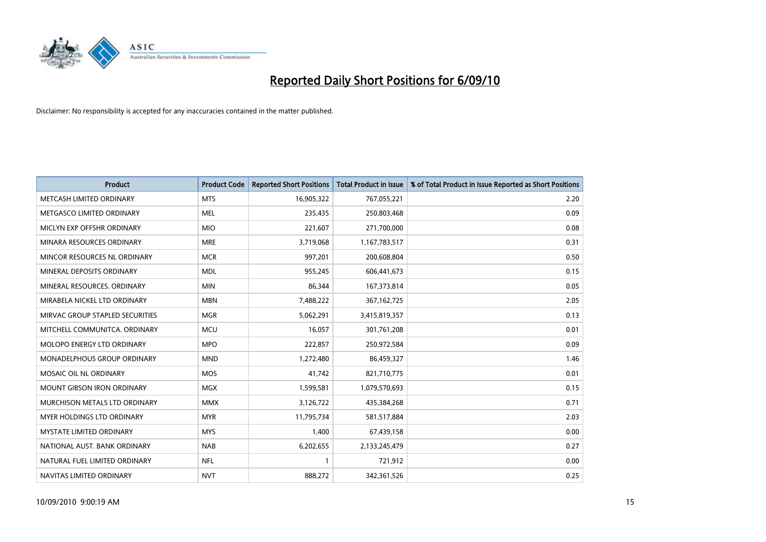

| <b>Product</b>                     | <b>Product Code</b> | <b>Reported Short Positions</b> | <b>Total Product in Issue</b> | % of Total Product in Issue Reported as Short Positions |
|------------------------------------|---------------------|---------------------------------|-------------------------------|---------------------------------------------------------|
| METCASH LIMITED ORDINARY           | <b>MTS</b>          | 16,905,322                      | 767,055,221                   | 2.20                                                    |
| METGASCO LIMITED ORDINARY          | <b>MEL</b>          | 235,435                         | 250,803,468                   | 0.09                                                    |
| MICLYN EXP OFFSHR ORDINARY         | <b>MIO</b>          | 221,607                         | 271,700,000                   | 0.08                                                    |
| MINARA RESOURCES ORDINARY          | <b>MRE</b>          | 3,719,068                       | 1,167,783,517                 | 0.31                                                    |
| MINCOR RESOURCES NL ORDINARY       | <b>MCR</b>          | 997,201                         | 200,608,804                   | 0.50                                                    |
| MINERAL DEPOSITS ORDINARY          | <b>MDL</b>          | 955,245                         | 606,441,673                   | 0.15                                                    |
| MINERAL RESOURCES, ORDINARY        | <b>MIN</b>          | 86.344                          | 167, 373, 814                 | 0.05                                                    |
| MIRABELA NICKEL LTD ORDINARY       | <b>MBN</b>          | 7,488,222                       | 367, 162, 725                 | 2.05                                                    |
| MIRVAC GROUP STAPLED SECURITIES    | <b>MGR</b>          | 5,062,291                       | 3,415,819,357                 | 0.13                                                    |
| MITCHELL COMMUNITCA, ORDINARY      | <b>MCU</b>          | 16,057                          | 301,761,208                   | 0.01                                                    |
| <b>MOLOPO ENERGY LTD ORDINARY</b>  | <b>MPO</b>          | 222,857                         | 250,972,584                   | 0.09                                                    |
| <b>MONADELPHOUS GROUP ORDINARY</b> | <b>MND</b>          | 1,272,480                       | 86,459,327                    | 1.46                                                    |
| MOSAIC OIL NL ORDINARY             | <b>MOS</b>          | 41.742                          | 821,710,775                   | 0.01                                                    |
| <b>MOUNT GIBSON IRON ORDINARY</b>  | <b>MGX</b>          | 1,599,581                       | 1,079,570,693                 | 0.15                                                    |
| MURCHISON METALS LTD ORDINARY      | <b>MMX</b>          | 3,126,722                       | 435,384,268                   | 0.71                                                    |
| MYER HOLDINGS LTD ORDINARY         | <b>MYR</b>          | 11,795,734                      | 581,517,884                   | 2.03                                                    |
| <b>MYSTATE LIMITED ORDINARY</b>    | <b>MYS</b>          | 1,400                           | 67,439,158                    | 0.00                                                    |
| NATIONAL AUST. BANK ORDINARY       | <b>NAB</b>          | 6,202,655                       | 2,133,245,479                 | 0.27                                                    |
| NATURAL FUEL LIMITED ORDINARY      | <b>NFL</b>          |                                 | 721,912                       | 0.00                                                    |
| NAVITAS LIMITED ORDINARY           | <b>NVT</b>          | 888.272                         | 342,361,526                   | 0.25                                                    |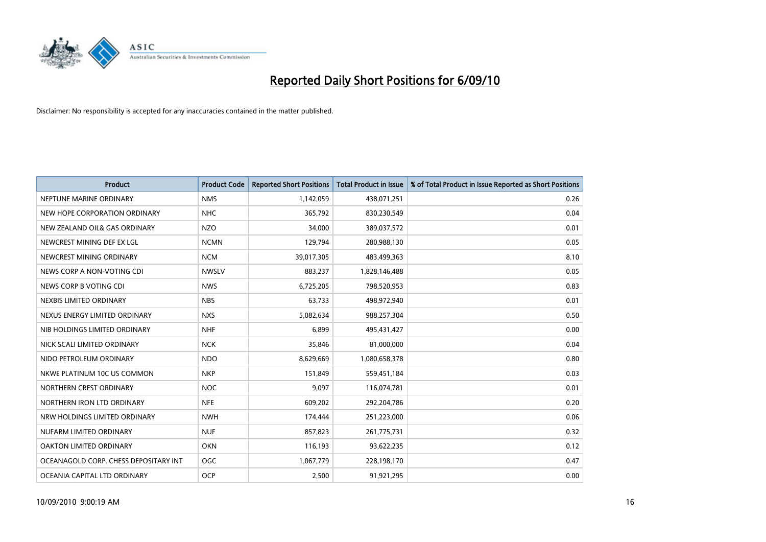

| <b>Product</b>                        | <b>Product Code</b> | <b>Reported Short Positions</b> | <b>Total Product in Issue</b> | % of Total Product in Issue Reported as Short Positions |
|---------------------------------------|---------------------|---------------------------------|-------------------------------|---------------------------------------------------------|
| NEPTUNE MARINE ORDINARY               | <b>NMS</b>          | 1,142,059                       | 438,071,251                   | 0.26                                                    |
| NEW HOPE CORPORATION ORDINARY         | <b>NHC</b>          | 365,792                         | 830,230,549                   | 0.04                                                    |
| NEW ZEALAND OIL& GAS ORDINARY         | <b>NZO</b>          | 34.000                          | 389,037,572                   | 0.01                                                    |
| NEWCREST MINING DEF EX LGL            | <b>NCMN</b>         | 129,794                         | 280,988,130                   | 0.05                                                    |
| NEWCREST MINING ORDINARY              | <b>NCM</b>          | 39,017,305                      | 483,499,363                   | 8.10                                                    |
| NEWS CORP A NON-VOTING CDI            | <b>NWSLV</b>        | 883,237                         | 1,828,146,488                 | 0.05                                                    |
| NEWS CORP B VOTING CDI                | <b>NWS</b>          | 6,725,205                       | 798,520,953                   | 0.83                                                    |
| NEXBIS LIMITED ORDINARY               | <b>NBS</b>          | 63,733                          | 498,972,940                   | 0.01                                                    |
| NEXUS ENERGY LIMITED ORDINARY         | <b>NXS</b>          | 5,082,634                       | 988,257,304                   | 0.50                                                    |
| NIB HOLDINGS LIMITED ORDINARY         | <b>NHF</b>          | 6,899                           | 495,431,427                   | 0.00                                                    |
| NICK SCALI LIMITED ORDINARY           | <b>NCK</b>          | 35,846                          | 81,000,000                    | 0.04                                                    |
| NIDO PETROLEUM ORDINARY               | <b>NDO</b>          | 8,629,669                       | 1,080,658,378                 | 0.80                                                    |
| NKWE PLATINUM 10C US COMMON           | <b>NKP</b>          | 151,849                         | 559,451,184                   | 0.03                                                    |
| NORTHERN CREST ORDINARY               | <b>NOC</b>          | 9,097                           | 116,074,781                   | 0.01                                                    |
| NORTHERN IRON LTD ORDINARY            | <b>NFE</b>          | 609,202                         | 292,204,786                   | 0.20                                                    |
| NRW HOLDINGS LIMITED ORDINARY         | <b>NWH</b>          | 174,444                         | 251,223,000                   | 0.06                                                    |
| NUFARM LIMITED ORDINARY               | <b>NUF</b>          | 857,823                         | 261,775,731                   | 0.32                                                    |
| OAKTON LIMITED ORDINARY               | <b>OKN</b>          | 116,193                         | 93,622,235                    | 0.12                                                    |
| OCEANAGOLD CORP. CHESS DEPOSITARY INT | <b>OGC</b>          | 1,067,779                       | 228,198,170                   | 0.47                                                    |
| OCEANIA CAPITAL LTD ORDINARY          | <b>OCP</b>          | 2.500                           | 91,921,295                    | 0.00                                                    |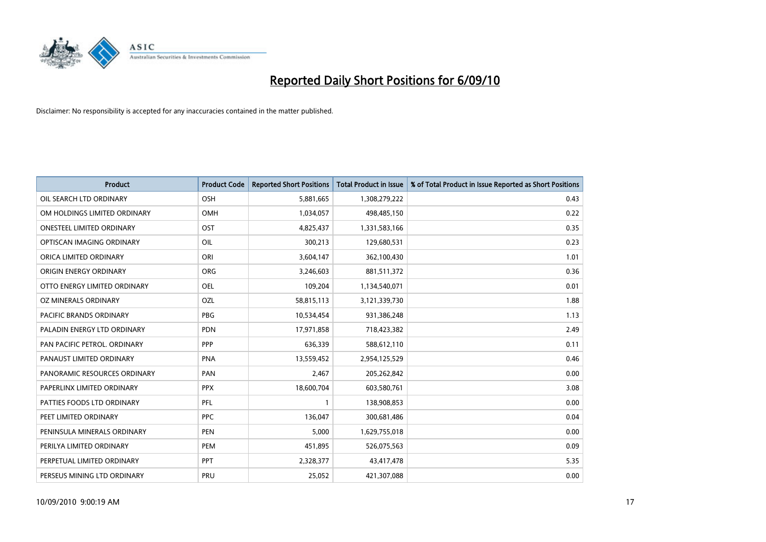

| <b>Product</b>                   | <b>Product Code</b> | <b>Reported Short Positions</b> | <b>Total Product in Issue</b> | % of Total Product in Issue Reported as Short Positions |
|----------------------------------|---------------------|---------------------------------|-------------------------------|---------------------------------------------------------|
| OIL SEARCH LTD ORDINARY          | OSH                 | 5,881,665                       | 1,308,279,222                 | 0.43                                                    |
| OM HOLDINGS LIMITED ORDINARY     | <b>OMH</b>          | 1,034,057                       | 498,485,150                   | 0.22                                                    |
| <b>ONESTEEL LIMITED ORDINARY</b> | OST                 | 4,825,437                       | 1,331,583,166                 | 0.35                                                    |
| OPTISCAN IMAGING ORDINARY        | OIL                 | 300,213                         | 129,680,531                   | 0.23                                                    |
| ORICA LIMITED ORDINARY           | ORI                 | 3,604,147                       | 362,100,430                   | 1.01                                                    |
| ORIGIN ENERGY ORDINARY           | <b>ORG</b>          | 3,246,603                       | 881,511,372                   | 0.36                                                    |
| OTTO ENERGY LIMITED ORDINARY     | <b>OEL</b>          | 109.204                         | 1,134,540,071                 | 0.01                                                    |
| OZ MINERALS ORDINARY             | OZL                 | 58,815,113                      | 3,121,339,730                 | 1.88                                                    |
| PACIFIC BRANDS ORDINARY          | <b>PBG</b>          | 10,534,454                      | 931,386,248                   | 1.13                                                    |
| PALADIN ENERGY LTD ORDINARY      | <b>PDN</b>          | 17,971,858                      | 718,423,382                   | 2.49                                                    |
| PAN PACIFIC PETROL. ORDINARY     | PPP                 | 636,339                         | 588,612,110                   | 0.11                                                    |
| PANAUST LIMITED ORDINARY         | <b>PNA</b>          | 13,559,452                      | 2,954,125,529                 | 0.46                                                    |
| PANORAMIC RESOURCES ORDINARY     | PAN                 | 2,467                           | 205,262,842                   | 0.00                                                    |
| PAPERLINX LIMITED ORDINARY       | <b>PPX</b>          | 18,600,704                      | 603,580,761                   | 3.08                                                    |
| PATTIES FOODS LTD ORDINARY       | PFL                 |                                 | 138,908,853                   | 0.00                                                    |
| PEET LIMITED ORDINARY            | <b>PPC</b>          | 136,047                         | 300,681,486                   | 0.04                                                    |
| PENINSULA MINERALS ORDINARY      | <b>PEN</b>          | 5,000                           | 1,629,755,018                 | 0.00                                                    |
| PERILYA LIMITED ORDINARY         | PEM                 | 451,895                         | 526,075,563                   | 0.09                                                    |
| PERPETUAL LIMITED ORDINARY       | PPT                 | 2,328,377                       | 43,417,478                    | 5.35                                                    |
| PERSEUS MINING LTD ORDINARY      | PRU                 | 25.052                          | 421,307,088                   | 0.00                                                    |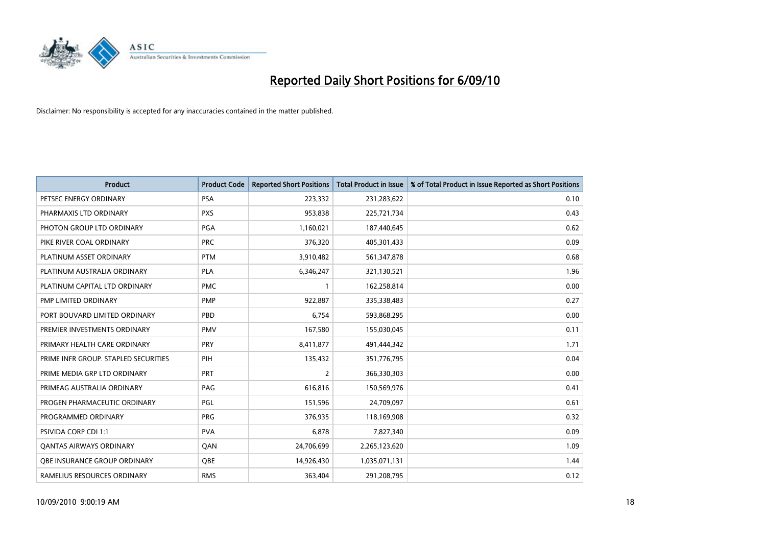

| <b>Product</b>                       | <b>Product Code</b> | <b>Reported Short Positions</b> | <b>Total Product in Issue</b> | % of Total Product in Issue Reported as Short Positions |
|--------------------------------------|---------------------|---------------------------------|-------------------------------|---------------------------------------------------------|
| PETSEC ENERGY ORDINARY               | <b>PSA</b>          | 223,332                         | 231,283,622                   | 0.10                                                    |
| PHARMAXIS LTD ORDINARY               | <b>PXS</b>          | 953,838                         | 225,721,734                   | 0.43                                                    |
| PHOTON GROUP LTD ORDINARY            | PGA                 | 1,160,021                       | 187,440,645                   | 0.62                                                    |
| PIKE RIVER COAL ORDINARY             | <b>PRC</b>          | 376,320                         | 405,301,433                   | 0.09                                                    |
| PLATINUM ASSET ORDINARY              | <b>PTM</b>          | 3,910,482                       | 561,347,878                   | 0.68                                                    |
| PLATINUM AUSTRALIA ORDINARY          | <b>PLA</b>          | 6,346,247                       | 321,130,521                   | 1.96                                                    |
| PLATINUM CAPITAL LTD ORDINARY        | <b>PMC</b>          |                                 | 162,258,814                   | 0.00                                                    |
| PMP LIMITED ORDINARY                 | <b>PMP</b>          | 922,887                         | 335,338,483                   | 0.27                                                    |
| PORT BOUVARD LIMITED ORDINARY        | PBD                 | 6,754                           | 593,868,295                   | 0.00                                                    |
| PREMIER INVESTMENTS ORDINARY         | <b>PMV</b>          | 167,580                         | 155,030,045                   | 0.11                                                    |
| PRIMARY HEALTH CARE ORDINARY         | PRY                 | 8,411,877                       | 491,444,342                   | 1.71                                                    |
| PRIME INFR GROUP. STAPLED SECURITIES | PIH                 | 135,432                         | 351,776,795                   | 0.04                                                    |
| PRIME MEDIA GRP LTD ORDINARY         | <b>PRT</b>          | $\overline{2}$                  | 366,330,303                   | 0.00                                                    |
| PRIMEAG AUSTRALIA ORDINARY           | PAG                 | 616,816                         | 150,569,976                   | 0.41                                                    |
| PROGEN PHARMACEUTIC ORDINARY         | <b>PGL</b>          | 151,596                         | 24,709,097                    | 0.61                                                    |
| PROGRAMMED ORDINARY                  | <b>PRG</b>          | 376,935                         | 118,169,908                   | 0.32                                                    |
| <b>PSIVIDA CORP CDI 1:1</b>          | <b>PVA</b>          | 6,878                           | 7,827,340                     | 0.09                                                    |
| <b>QANTAS AIRWAYS ORDINARY</b>       | QAN                 | 24,706,699                      | 2,265,123,620                 | 1.09                                                    |
| OBE INSURANCE GROUP ORDINARY         | OBE                 | 14,926,430                      | 1,035,071,131                 | 1.44                                                    |
| RAMELIUS RESOURCES ORDINARY          | <b>RMS</b>          | 363,404                         | 291,208,795                   | 0.12                                                    |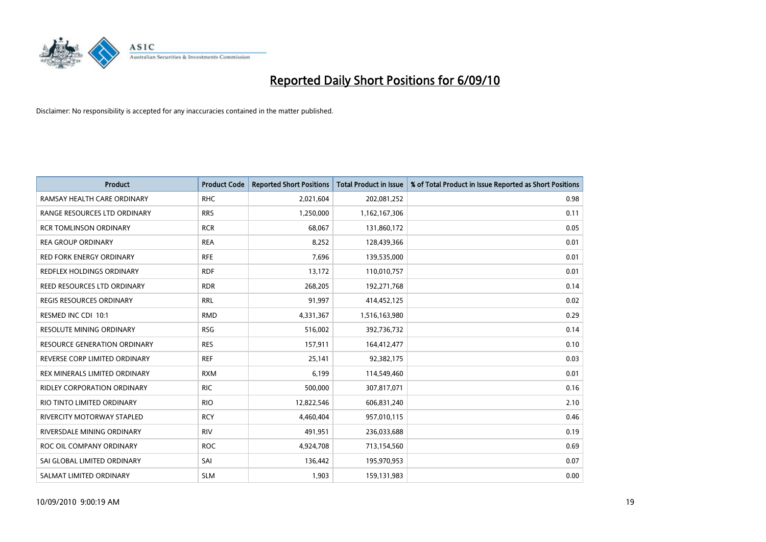

| <b>Product</b>                     | <b>Product Code</b> | <b>Reported Short Positions</b> | Total Product in Issue | % of Total Product in Issue Reported as Short Positions |
|------------------------------------|---------------------|---------------------------------|------------------------|---------------------------------------------------------|
| RAMSAY HEALTH CARE ORDINARY        | <b>RHC</b>          | 2,021,604                       | 202,081,252            | 0.98                                                    |
| RANGE RESOURCES LTD ORDINARY       | <b>RRS</b>          | 1,250,000                       | 1,162,167,306          | 0.11                                                    |
| <b>RCR TOMLINSON ORDINARY</b>      | <b>RCR</b>          | 68.067                          | 131,860,172            | 0.05                                                    |
| <b>REA GROUP ORDINARY</b>          | <b>REA</b>          | 8,252                           | 128,439,366            | 0.01                                                    |
| <b>RED FORK ENERGY ORDINARY</b>    | <b>RFE</b>          | 7,696                           | 139,535,000            | 0.01                                                    |
| REDFLEX HOLDINGS ORDINARY          | <b>RDF</b>          | 13,172                          | 110,010,757            | 0.01                                                    |
| REED RESOURCES LTD ORDINARY        | <b>RDR</b>          | 268,205                         | 192,271,768            | 0.14                                                    |
| REGIS RESOURCES ORDINARY           | <b>RRL</b>          | 91,997                          | 414,452,125            | 0.02                                                    |
| RESMED INC CDI 10:1                | <b>RMD</b>          | 4,331,367                       | 1,516,163,980          | 0.29                                                    |
| <b>RESOLUTE MINING ORDINARY</b>    | <b>RSG</b>          | 516,002                         | 392,736,732            | 0.14                                                    |
| RESOURCE GENERATION ORDINARY       | <b>RES</b>          | 157,911                         | 164,412,477            | 0.10                                                    |
| REVERSE CORP LIMITED ORDINARY      | <b>REF</b>          | 25,141                          | 92,382,175             | 0.03                                                    |
| REX MINERALS LIMITED ORDINARY      | <b>RXM</b>          | 6,199                           | 114,549,460            | 0.01                                                    |
| <b>RIDLEY CORPORATION ORDINARY</b> | <b>RIC</b>          | 500,000                         | 307,817,071            | 0.16                                                    |
| RIO TINTO LIMITED ORDINARY         | <b>RIO</b>          | 12,822,546                      | 606,831,240            | 2.10                                                    |
| <b>RIVERCITY MOTORWAY STAPLED</b>  | <b>RCY</b>          | 4,460,404                       | 957,010,115            | 0.46                                                    |
| RIVERSDALE MINING ORDINARY         | <b>RIV</b>          | 491,951                         | 236,033,688            | 0.19                                                    |
| ROC OIL COMPANY ORDINARY           | <b>ROC</b>          | 4,924,708                       | 713,154,560            | 0.69                                                    |
| SAI GLOBAL LIMITED ORDINARY        | SAI                 | 136,442                         | 195,970,953            | 0.07                                                    |
| SALMAT LIMITED ORDINARY            | <b>SLM</b>          | 1,903                           | 159,131,983            | 0.00                                                    |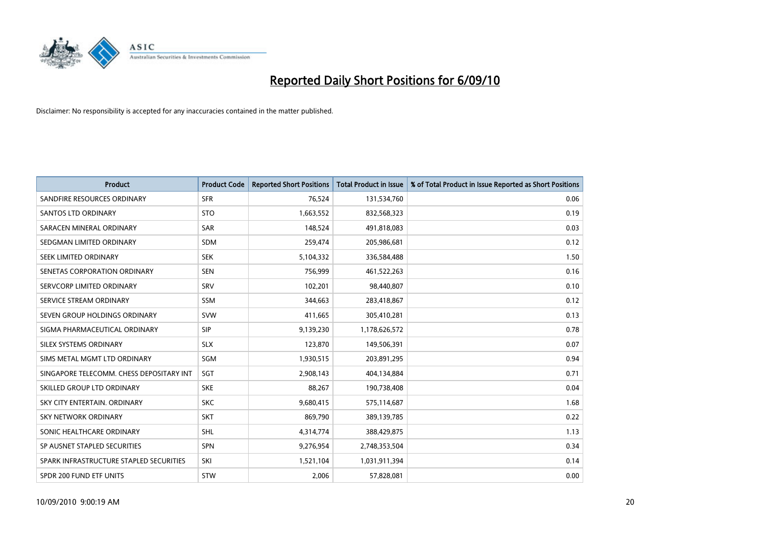

| <b>Product</b>                           | <b>Product Code</b> | <b>Reported Short Positions</b> | <b>Total Product in Issue</b> | % of Total Product in Issue Reported as Short Positions |
|------------------------------------------|---------------------|---------------------------------|-------------------------------|---------------------------------------------------------|
| SANDFIRE RESOURCES ORDINARY              | <b>SFR</b>          | 76,524                          | 131,534,760                   | 0.06                                                    |
| SANTOS LTD ORDINARY                      | <b>STO</b>          | 1,663,552                       | 832,568,323                   | 0.19                                                    |
| SARACEN MINERAL ORDINARY                 | <b>SAR</b>          | 148,524                         | 491,818,083                   | 0.03                                                    |
| SEDGMAN LIMITED ORDINARY                 | <b>SDM</b>          | 259,474                         | 205,986,681                   | 0.12                                                    |
| SEEK LIMITED ORDINARY                    | <b>SEK</b>          | 5,104,332                       | 336,584,488                   | 1.50                                                    |
| SENETAS CORPORATION ORDINARY             | <b>SEN</b>          | 756,999                         | 461,522,263                   | 0.16                                                    |
| SERVCORP LIMITED ORDINARY                | <b>SRV</b>          | 102,201                         | 98,440,807                    | 0.10                                                    |
| SERVICE STREAM ORDINARY                  | <b>SSM</b>          | 344,663                         | 283,418,867                   | 0.12                                                    |
| SEVEN GROUP HOLDINGS ORDINARY            | <b>SVW</b>          | 411,665                         | 305,410,281                   | 0.13                                                    |
| SIGMA PHARMACEUTICAL ORDINARY            | SIP                 | 9,139,230                       | 1,178,626,572                 | 0.78                                                    |
| SILEX SYSTEMS ORDINARY                   | <b>SLX</b>          | 123,870                         | 149,506,391                   | 0.07                                                    |
| SIMS METAL MGMT LTD ORDINARY             | SGM                 | 1,930,515                       | 203,891,295                   | 0.94                                                    |
| SINGAPORE TELECOMM. CHESS DEPOSITARY INT | SGT                 | 2,908,143                       | 404,134,884                   | 0.71                                                    |
| SKILLED GROUP LTD ORDINARY               | <b>SKE</b>          | 88,267                          | 190,738,408                   | 0.04                                                    |
| SKY CITY ENTERTAIN, ORDINARY             | <b>SKC</b>          | 9,680,415                       | 575,114,687                   | 1.68                                                    |
| SKY NETWORK ORDINARY                     | <b>SKT</b>          | 869,790                         | 389,139,785                   | 0.22                                                    |
| SONIC HEALTHCARE ORDINARY                | <b>SHL</b>          | 4,314,774                       | 388,429,875                   | 1.13                                                    |
| SP AUSNET STAPLED SECURITIES             | <b>SPN</b>          | 9,276,954                       | 2,748,353,504                 | 0.34                                                    |
| SPARK INFRASTRUCTURE STAPLED SECURITIES  | SKI                 | 1,521,104                       | 1,031,911,394                 | 0.14                                                    |
| SPDR 200 FUND ETF UNITS                  | STW                 | 2,006                           | 57,828,081                    | 0.00                                                    |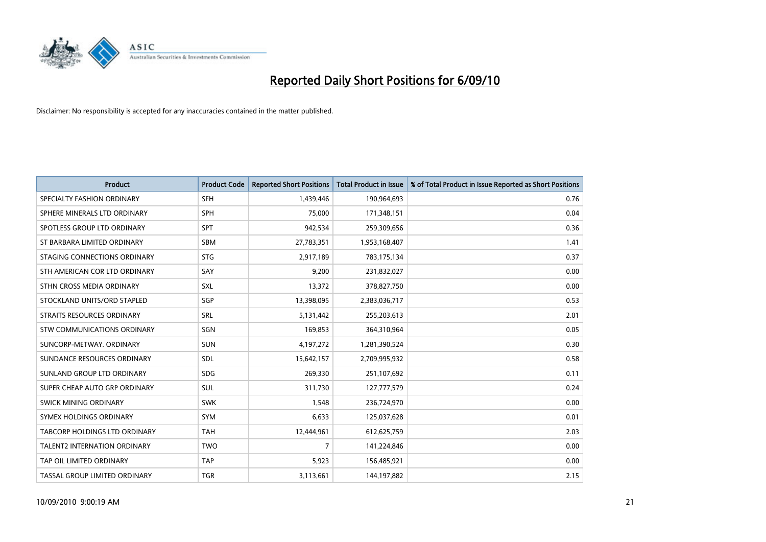

| <b>Product</b>                     | <b>Product Code</b> | <b>Reported Short Positions</b> | <b>Total Product in Issue</b> | % of Total Product in Issue Reported as Short Positions |
|------------------------------------|---------------------|---------------------------------|-------------------------------|---------------------------------------------------------|
| SPECIALTY FASHION ORDINARY         | <b>SFH</b>          | 1,439,446                       | 190,964,693                   | 0.76                                                    |
| SPHERE MINERALS LTD ORDINARY       | SPH                 | 75,000                          | 171,348,151                   | 0.04                                                    |
| SPOTLESS GROUP LTD ORDINARY        | <b>SPT</b>          | 942,534                         | 259,309,656                   | 0.36                                                    |
| ST BARBARA LIMITED ORDINARY        | SBM                 | 27,783,351                      | 1,953,168,407                 | 1.41                                                    |
| STAGING CONNECTIONS ORDINARY       | <b>STG</b>          | 2,917,189                       | 783,175,134                   | 0.37                                                    |
| STH AMERICAN COR LTD ORDINARY      | SAY                 | 9,200                           | 231,832,027                   | 0.00                                                    |
| STHN CROSS MEDIA ORDINARY          | SXL                 | 13,372                          | 378,827,750                   | 0.00                                                    |
| STOCKLAND UNITS/ORD STAPLED        | SGP                 | 13,398,095                      | 2,383,036,717                 | 0.53                                                    |
| STRAITS RESOURCES ORDINARY         | SRL                 | 5,131,442                       | 255,203,613                   | 2.01                                                    |
| <b>STW COMMUNICATIONS ORDINARY</b> | SGN                 | 169,853                         | 364,310,964                   | 0.05                                                    |
| SUNCORP-METWAY, ORDINARY           | <b>SUN</b>          | 4,197,272                       | 1,281,390,524                 | 0.30                                                    |
| SUNDANCE RESOURCES ORDINARY        | <b>SDL</b>          | 15,642,157                      | 2,709,995,932                 | 0.58                                                    |
| SUNLAND GROUP LTD ORDINARY         | <b>SDG</b>          | 269,330                         | 251,107,692                   | 0.11                                                    |
| SUPER CHEAP AUTO GRP ORDINARY      | SUL                 | 311,730                         | 127,777,579                   | 0.24                                                    |
| <b>SWICK MINING ORDINARY</b>       | <b>SWK</b>          | 1,548                           | 236,724,970                   | 0.00                                                    |
| SYMEX HOLDINGS ORDINARY            | SYM                 | 6,633                           | 125,037,628                   | 0.01                                                    |
| TABCORP HOLDINGS LTD ORDINARY      | <b>TAH</b>          | 12,444,961                      | 612,625,759                   | 2.03                                                    |
| TALENT2 INTERNATION ORDINARY       | <b>TWO</b>          | 7                               | 141,224,846                   | 0.00                                                    |
| TAP OIL LIMITED ORDINARY           | <b>TAP</b>          | 5,923                           | 156,485,921                   | 0.00                                                    |
| TASSAL GROUP LIMITED ORDINARY      | <b>TGR</b>          | 3,113,661                       | 144,197,882                   | 2.15                                                    |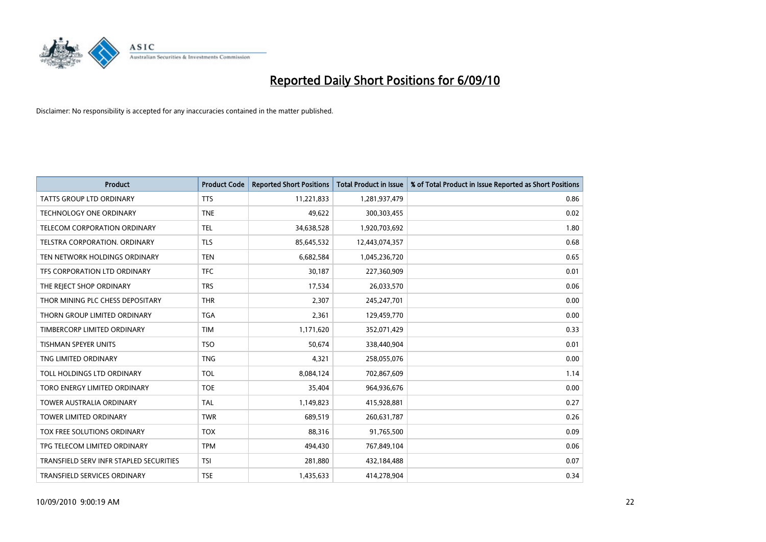

| <b>Product</b>                          | <b>Product Code</b> | <b>Reported Short Positions</b> | <b>Total Product in Issue</b> | % of Total Product in Issue Reported as Short Positions |
|-----------------------------------------|---------------------|---------------------------------|-------------------------------|---------------------------------------------------------|
| <b>TATTS GROUP LTD ORDINARY</b>         | <b>TTS</b>          | 11,221,833                      | 1,281,937,479                 | 0.86                                                    |
| TECHNOLOGY ONE ORDINARY                 | <b>TNE</b>          | 49,622                          | 300,303,455                   | 0.02                                                    |
| TELECOM CORPORATION ORDINARY            | <b>TEL</b>          | 34,638,528                      | 1,920,703,692                 | 1.80                                                    |
| TELSTRA CORPORATION. ORDINARY           | <b>TLS</b>          | 85,645,532                      | 12,443,074,357                | 0.68                                                    |
| TEN NETWORK HOLDINGS ORDINARY           | <b>TEN</b>          | 6,682,584                       | 1,045,236,720                 | 0.65                                                    |
| TFS CORPORATION LTD ORDINARY            | <b>TFC</b>          | 30,187                          | 227,360,909                   | 0.01                                                    |
| THE REJECT SHOP ORDINARY                | <b>TRS</b>          | 17,534                          | 26,033,570                    | 0.06                                                    |
| THOR MINING PLC CHESS DEPOSITARY        | <b>THR</b>          | 2,307                           | 245,247,701                   | 0.00                                                    |
| THORN GROUP LIMITED ORDINARY            | <b>TGA</b>          | 2,361                           | 129,459,770                   | 0.00                                                    |
| TIMBERCORP LIMITED ORDINARY             | <b>TIM</b>          | 1,171,620                       | 352,071,429                   | 0.33                                                    |
| <b>TISHMAN SPEYER UNITS</b>             | <b>TSO</b>          | 50,674                          | 338,440,904                   | 0.01                                                    |
| TNG LIMITED ORDINARY                    | <b>TNG</b>          | 4,321                           | 258,055,076                   | 0.00                                                    |
| TOLL HOLDINGS LTD ORDINARY              | <b>TOL</b>          | 8,084,124                       | 702,867,609                   | 1.14                                                    |
| TORO ENERGY LIMITED ORDINARY            | <b>TOE</b>          | 35,404                          | 964,936,676                   | 0.00                                                    |
| <b>TOWER AUSTRALIA ORDINARY</b>         | <b>TAL</b>          | 1,149,823                       | 415,928,881                   | 0.27                                                    |
| <b>TOWER LIMITED ORDINARY</b>           | <b>TWR</b>          | 689,519                         | 260,631,787                   | 0.26                                                    |
| TOX FREE SOLUTIONS ORDINARY             | <b>TOX</b>          | 88,316                          | 91,765,500                    | 0.09                                                    |
| TPG TELECOM LIMITED ORDINARY            | <b>TPM</b>          | 494,430                         | 767,849,104                   | 0.06                                                    |
| TRANSFIELD SERV INFR STAPLED SECURITIES | <b>TSI</b>          | 281,880                         | 432,184,488                   | 0.07                                                    |
| TRANSFIELD SERVICES ORDINARY            | <b>TSE</b>          | 1,435,633                       | 414,278,904                   | 0.34                                                    |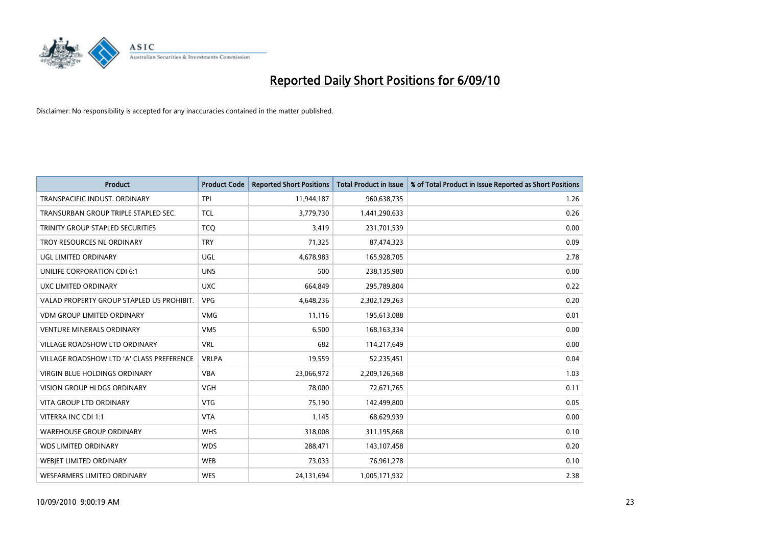

| <b>Product</b>                            | <b>Product Code</b> | <b>Reported Short Positions</b> | <b>Total Product in Issue</b> | % of Total Product in Issue Reported as Short Positions |
|-------------------------------------------|---------------------|---------------------------------|-------------------------------|---------------------------------------------------------|
| TRANSPACIFIC INDUST, ORDINARY             | <b>TPI</b>          | 11,944,187                      | 960,638,735                   | 1.26                                                    |
| TRANSURBAN GROUP TRIPLE STAPLED SEC.      | <b>TCL</b>          | 3,779,730                       | 1,441,290,633                 | 0.26                                                    |
| TRINITY GROUP STAPLED SECURITIES          | <b>TCQ</b>          | 3,419                           | 231,701,539                   | 0.00                                                    |
| TROY RESOURCES NL ORDINARY                | <b>TRY</b>          | 71,325                          | 87,474,323                    | 0.09                                                    |
| <b>UGL LIMITED ORDINARY</b>               | UGL                 | 4,678,983                       | 165,928,705                   | 2.78                                                    |
| UNILIFE CORPORATION CDI 6:1               | <b>UNS</b>          | 500                             | 238,135,980                   | 0.00                                                    |
| UXC LIMITED ORDINARY                      | <b>UXC</b>          | 664.849                         | 295,789,804                   | 0.22                                                    |
| VALAD PROPERTY GROUP STAPLED US PROHIBIT. | <b>VPG</b>          | 4,648,236                       | 2,302,129,263                 | 0.20                                                    |
| <b>VDM GROUP LIMITED ORDINARY</b>         | <b>VMG</b>          | 11,116                          | 195,613,088                   | 0.01                                                    |
| <b>VENTURE MINERALS ORDINARY</b>          | <b>VMS</b>          | 6,500                           | 168, 163, 334                 | 0.00                                                    |
| <b>VILLAGE ROADSHOW LTD ORDINARY</b>      | <b>VRL</b>          | 682                             | 114,217,649                   | 0.00                                                    |
| VILLAGE ROADSHOW LTD 'A' CLASS PREFERENCE | <b>VRLPA</b>        | 19,559                          | 52,235,451                    | 0.04                                                    |
| <b>VIRGIN BLUE HOLDINGS ORDINARY</b>      | <b>VBA</b>          | 23,066,972                      | 2,209,126,568                 | 1.03                                                    |
| <b>VISION GROUP HLDGS ORDINARY</b>        | <b>VGH</b>          | 78,000                          | 72,671,765                    | 0.11                                                    |
| <b>VITA GROUP LTD ORDINARY</b>            | <b>VTG</b>          | 75,190                          | 142,499,800                   | 0.05                                                    |
| VITERRA INC CDI 1:1                       | <b>VTA</b>          | 1,145                           | 68,629,939                    | 0.00                                                    |
| <b>WAREHOUSE GROUP ORDINARY</b>           | <b>WHS</b>          | 318,008                         | 311,195,868                   | 0.10                                                    |
| <b>WDS LIMITED ORDINARY</b>               | <b>WDS</b>          | 288,471                         | 143,107,458                   | 0.20                                                    |
| <b>WEBJET LIMITED ORDINARY</b>            | <b>WEB</b>          | 73,033                          | 76,961,278                    | 0.10                                                    |
| <b>WESFARMERS LIMITED ORDINARY</b>        | <b>WES</b>          | 24,131,694                      | 1,005,171,932                 | 2.38                                                    |